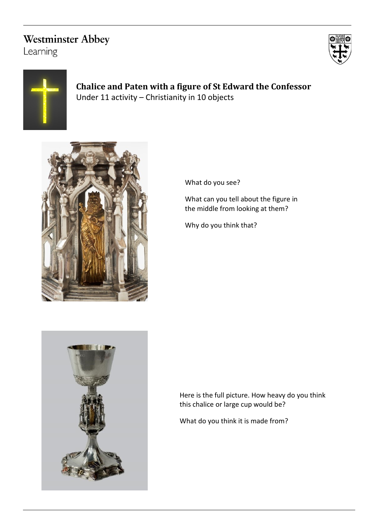## **Westminster Abbey**

Learning





**Chalice and Paten with a figure of St Edward the Confessor** Under 11 activity – Christianity in 10 objects



What do you see?

What can you tell about the figure in the middle from looking at them?

Why do you think that?



Here is the full picture. How heavy do you think this chalice or large cup would be?

What do you think it is made from?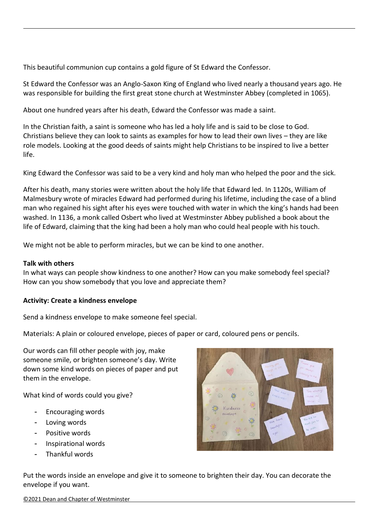This beautiful communion cup contains a gold figure of St Edward the Confessor.

St Edward the Confessor was an Anglo-Saxon King of England who lived nearly a thousand years ago. He was responsible for building the first great stone church at Westminster Abbey (completed in 1065).

About one hundred years after his death, Edward the Confessor was made a saint.

In the Christian faith, a saint is someone who has led a holy life and is said to be close to God. Christians believe they can look to saints as examples for how to lead their own lives – they are like role models. Looking at the good deeds of saints might help Christians to be inspired to live a better life.

King Edward the Confessor was said to be a very kind and holy man who helped the poor and the sick.

After his death, many stories were written about the holy life that Edward led. In 1120s, William of Malmesbury wrote of miracles Edward had performed during his lifetime, including the case of a blind man who regained his sight after his eyes were touched with water in which the king's hands had been washed. In 1136, a monk called Osbert who lived at Westminster Abbey published a book about the life of Edward, claiming that the king had been a holy man who could heal people with his touch.

We might not be able to perform miracles, but we can be kind to one another.

## **Talk with others**

In what ways can people show kindness to one another? How can you make somebody feel special? How can you show somebody that you love and appreciate them?

## **Activity: Create a kindness envelope**

Send a kindness envelope to make someone feel special.

Materials: A plain or coloured envelope, pieces of paper or card, coloured pens or pencils.

Our words can fill other people with joy, make someone smile, or brighten someone's day. Write down some kind words on pieces of paper and put them in the envelope.

What kind of words could you give?

- Encouraging words
- Loving words
- Positive words
- Inspirational words
- Thankful words



Put the words inside an envelope and give it to someone to brighten their day. You can decorate the envelope if you want.